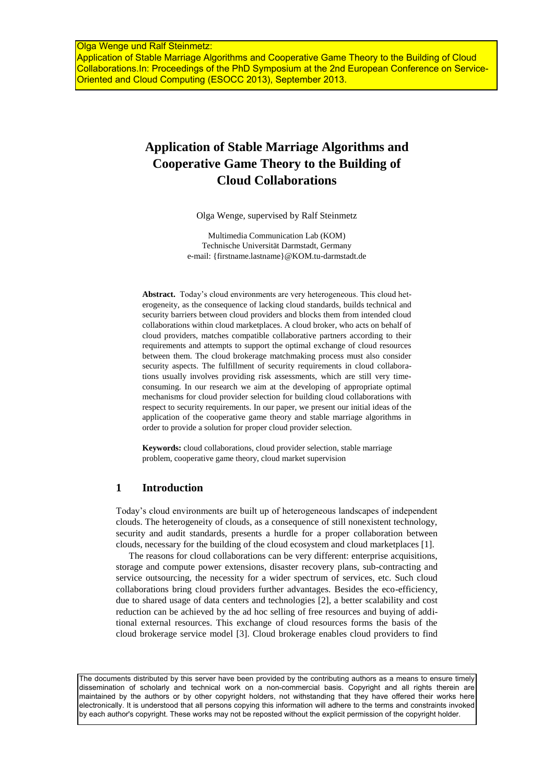# **Application of Stable Marriage Algorithms and Cooperative Game Theory to the Building of Cloud Collaborations**

Olga Wenge, supervised by Ralf Steinmetz

Multimedia Communication Lab (KOM) Technische Universität Darmstadt, Germany e-mail: [{firstname.lastname}@KOM.tu-darmstadt.de](mailto:%7bfirstname.lastname%7d@KOM.tu-darmstadt.de)

**Abstract.** Today's cloud environments are very heterogeneous. This cloud heterogeneity, as the consequence of lacking cloud standards, builds technical and security barriers between cloud providers and blocks them from intended cloud collaborations within cloud marketplaces. A cloud broker, who acts on behalf of cloud providers, matches compatible collaborative partners according to their requirements and attempts to support the optimal exchange of cloud resources between them. The cloud brokerage matchmaking process must also consider security aspects. The fulfillment of security requirements in cloud collaborations usually involves providing risk assessments, which are still very timeconsuming. In our research we aim at the developing of appropriate optimal mechanisms for cloud provider selection for building cloud collaborations with respect to security requirements. In our paper, we present our initial ideas of the application of the cooperative game theory and stable marriage algorithms in order to provide a solution for proper cloud provider selection.

**Keywords:** cloud collaborations, cloud provider selection, stable marriage problem, cooperative game theory, cloud market supervision

### **1 Introduction**

Today's cloud environments are built up of heterogeneous landscapes of independent clouds. The heterogeneity of clouds, as a consequence of still nonexistent technology, security and audit standards, presents a hurdle for a proper collaboration between clouds, necessary for the building of the cloud ecosystem and cloud marketplaces [1].

The reasons for cloud collaborations can be very different: enterprise acquisitions, storage and compute power extensions, disaster recovery plans, sub-contracting and service outsourcing, the necessity for a wider spectrum of services, etc. Such cloud collaborations bring cloud providers further advantages. Besides the eco-efficiency, due to shared usage of data centers and technologies [2], a better scalability and cost reduction can be achieved by the ad hoc selling of free resources and buying of additional external resources. This exchange of cloud resources forms the basis of the cloud brokerage service model [3]. Cloud brokerage enables cloud providers to find

The documents distributed by this server have been provided by the contributing authors as a means to ensure timely dissemination of scholarly and technical work on a non-commercial basis. Copyright and all rights therein are maintained by the authors or by other copyright holders, not withstanding that they have offered their works here electronically. It is understood that all persons copying this information will adhere to the terms and constraints invoked by each author's copyright. These works may not be reposted without the explicit permission of the copyright holder.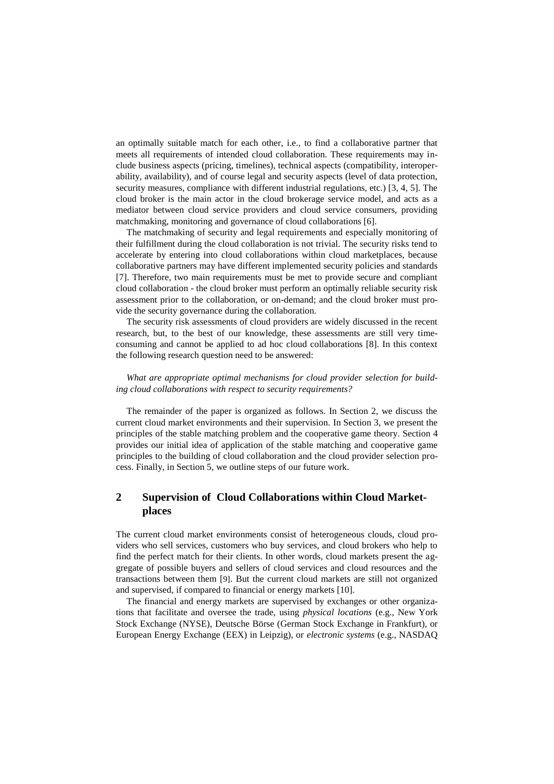an optimally suitable match for each other, i.e., to find a collaborative partner that meets all requirements of intended cloud collaboration. These requirements may include business aspects (pricing, timelines), technical aspects (compatibility, interoperability, availability), and of course legal and security aspects (level of data protection, security measures, compliance with different industrial regulations, etc.) [3, 4, 5]. The cloud broker is the main actor in the cloud brokerage service model, and acts as a mediator between cloud service providers and cloud service consumers, providing matchmaking, monitoring and governance of cloud collaborations [6].

The matchmaking of security and legal requirements and especially monitoring of their fulfillment during the cloud collaboration is not trivial. The security risks tend to accelerate by entering into cloud collaborations within cloud marketplaces, because collaborative partners may have different implemented security policies and standards [7]. Therefore, two main requirements must be met to provide secure and compliant cloud collaboration - the cloud broker must perform an optimally reliable security risk assessment prior to the collaboration, or on-demand; and the cloud broker must provide the security governance during the collaboration.

The security risk assessments of cloud providers are widely discussed in the recent research, but, to the best of our knowledge, these assessments are still very timeconsuming and cannot be applied to ad hoc cloud collaborations [8]. In this context the following research question need to be answered:

#### *What are appropriate optimal mechanisms for cloud provider selection for building cloud collaborations with respect to security requirements?*

The remainder of the paper is organized as follows. In Section 2, we discuss the current cloud market environments and their supervision. In Section 3, we present the principles of the stable matching problem and the cooperative game theory. Section 4 provides our initial idea of application of the stable matching and cooperative game principles to the building of cloud collaboration and the cloud provider selection process. Finally, in Section 5, we outline steps of our future work.

## **2 Supervision of Cloud Collaborations within Cloud Marketplaces**

The current cloud market environments consist of heterogeneous clouds, cloud providers who sell services, customers who buy services, and cloud brokers who help to find the perfect match for their clients. In other words, cloud markets present the aggregate of possible buyers and sellers of cloud services and cloud resources and the transactions between them [9]. But the current cloud markets are still not organized and supervised, if compared to financial or energy markets [10].

The financial and energy markets are supervised by exchanges or other organizations that facilitate and oversee the trade, using *physical locations* (e.g., New York Stock Exchange (NYSE), Deutsche Börse (German Stock Exchange in Frankfurt), or European Energy Exchange (EEX) in Leipzig), or *electronic systems* (e.g., NASDAQ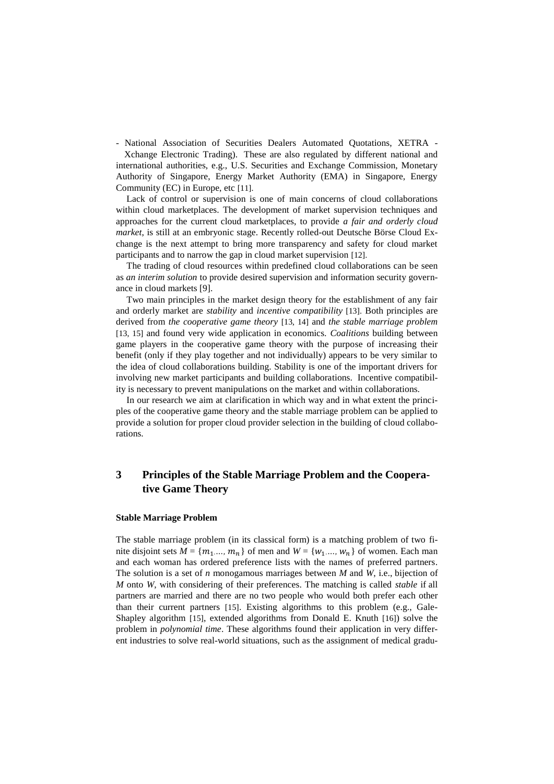- National Association of Securities Dealers Automated Quotations, XETRA - Xchange Electronic Trading). These are also regulated by different national and international authorities, e.g., U.S. Securities and Exchange Commission, Monetary Authority of Singapore, Energy Market Authority (EMA) in Singapore, Energy Community (EC) in Europe, etc [11].

Lack of control or supervision is one of main concerns of cloud collaborations within cloud marketplaces. The development of market supervision techniques and approaches for the current cloud marketplaces, to provide *a fair and orderly cloud market*, is still at an embryonic stage. Recently rolled-out Deutsche Börse Cloud Exchange is the next attempt to bring more transparency and safety for cloud market participants and to narrow the gap in cloud market supervision [12].

The trading of cloud resources within predefined cloud collaborations can be seen as *an interim solution* to provide desired supervision and information security governance in cloud markets [9].

Two main principles in the market design theory for the establishment of any fair and orderly market are *stability* and *incentive compatibility* [13]. Both principles are derived from *the cooperative game theory* [13, 14] and *the stable marriage problem* [13, 15] and found very wide application in economics. *Coalitions* building between game players in the cooperative game theory with the purpose of increasing their benefit (only if they play together and not individually) appears to be very similar to the idea of cloud collaborations building. Stability is one of the important drivers for involving new market participants and building collaborations. Incentive compatibility is necessary to prevent manipulations on the market and within collaborations.

In our research we aim at clarification in which way and in what extent the principles of the cooperative game theory and the stable marriage problem can be applied to provide a solution for proper cloud provider selection in the building of cloud collaborations.

# **3 Principles of the Stable Marriage Problem and the Cooperative Game Theory**

#### **Stable Marriage Problem**

The stable marriage problem (in its classical form) is a matching problem of two finite disjoint sets  $M = \{m_1, ..., m_n\}$  of men and  $W = \{w_1, ..., w_n\}$  of women. Each man and each woman has ordered preference lists with the names of preferred partners. The solution is a set of *n* monogamous marriages between *M* and *W*, i.e., bijection of *M* onto *W*, with considering of their preferences. The matching is called *stable* if all partners are married and there are no two people who would both prefer each other than their current partners [15]. Existing algorithms to this problem (e.g., Gale-Shapley algorithm [15], extended algorithms from Donald E. Knuth [16]) solve the problem in *polynomial time*. These algorithms found their application in very different industries to solve real-world situations, such as the assignment of medical gradu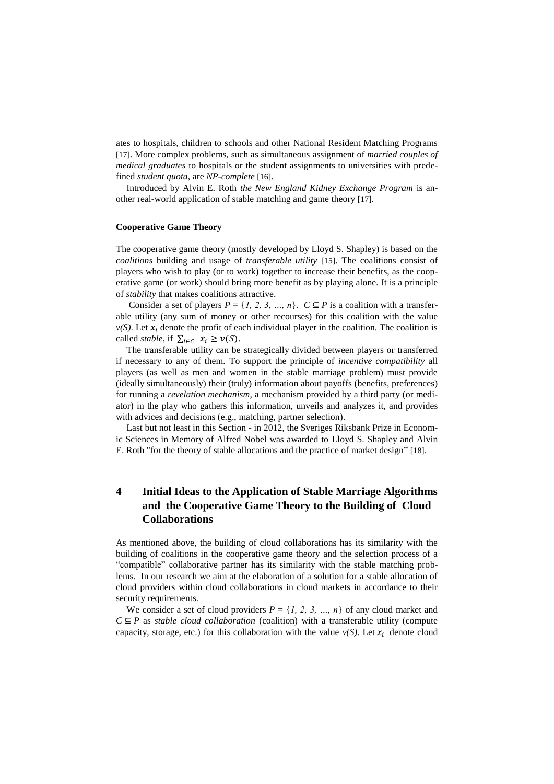ates to hospitals, children to schools and other National Resident Matching Programs [17]. More complex problems, such as simultaneous assignment of *married couples of medical graduates* to hospitals or the student assignments to universities with predefined *student quota*, are *NP-complete* [16].

Introduced by Alvin E. Roth *the New England Kidney Exchange Program* is another real-world application of stable matching and game theory [17].

#### **Cooperative Game Theory**

The cooperative game theory (mostly developed by Lloyd S. Shapley) is based on the *coalitions* building and usage of *transferable utility* [15]. The coalitions consist of players who wish to play (or to work) together to increase their benefits, as the cooperative game (or work) should bring more benefit as by playing alone. It is a principle of *stability* that makes coalitions attractive.

Consider a set of players  $P = \{1, 2, 3, ..., n\}$ .  $C \subseteq P$  is a coalition with a transferable utility (any sum of money or other recourses) for this coalition with the value  $v(S)$ . Let  $x_i$  denote the profit of each individual player in the coalition. The coalition is called *stable*, if  $\sum_{i \in C} x_i \geq v(S)$ .

The transferable utility can be strategically divided between players or transferred if necessary to any of them. To support the principle of *incentive compatibility* all players (as well as men and women in the stable marriage problem) must provide (ideally simultaneously) their (truly) information about payoffs (benefits, preferences) for running a *revelation mechanism*, a mechanism provided by a third party (or mediator) in the play who gathers this information, unveils and analyzes it, and provides with advices and decisions (e.g., matching, partner selection).

Last but not least in this Section - in 2012, the Sveriges Riksbank Prize in Economic Sciences in Memory of Alfred Nobel was awarded to [Lloyd S. Shapley](http://en.wikipedia.org/wiki/Lloyd_S._Shapley) and [Alvin](http://en.wikipedia.org/wiki/Alvin_E._Roth)  [E. Roth](http://en.wikipedia.org/wiki/Alvin_E._Roth) "for the theory of stable allocations and the practice of market design" [18].

# **4 Initial Ideas to the Application of Stable Marriage Algorithms and the Cooperative Game Theory to the Building of Cloud Collaborations**

As mentioned above, the building of cloud collaborations has its similarity with the building of coalitions in the cooperative game theory and the selection process of a "compatible" collaborative partner has its similarity with the stable matching problems. In our research we aim at the elaboration of a solution for a stable allocation of cloud providers within cloud collaborations in cloud markets in accordance to their security requirements.

We consider a set of cloud providers  $P = \{1, 2, 3, ..., n\}$  of any cloud market and  $C \subseteq P$  as *stable cloud collaboration* (coalition) with a transferable utility (compute capacity, storage, etc.) for this collaboration with the value  $v(S)$ . Let  $x_i$  denote cloud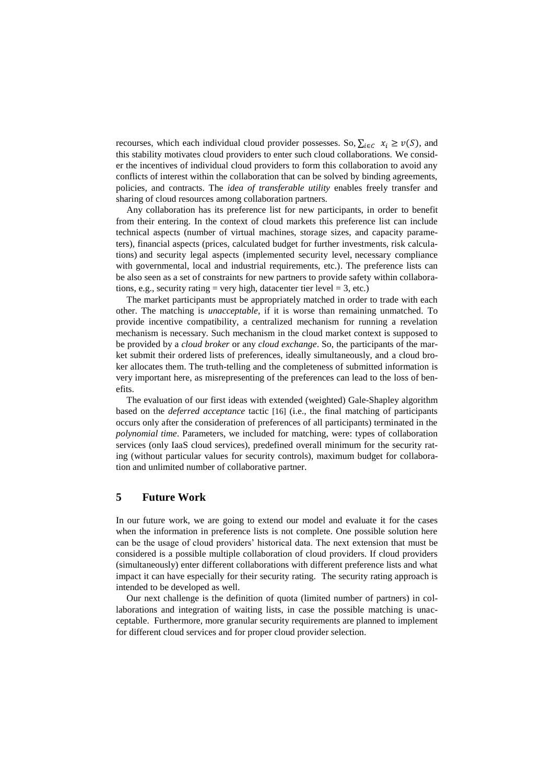recourses, which each individual cloud provider possesses. So,  $\sum_{i \in C} x_i \geq v(S)$ , and this stability motivates cloud providers to enter such cloud collaborations. We consider the incentives of individual cloud providers to form this collaboration to avoid any conflicts of interest within the collaboration that can be solved by binding agreements, policies, and contracts. The *idea of transferable utility* enables freely transfer and sharing of cloud resources among collaboration partners.

Any collaboration has its preference list for new participants, in order to benefit from their entering. In the context of cloud markets this preference list can include technical aspects (number of virtual machines, storage sizes, and capacity parameters), financial aspects (prices, calculated budget for further investments, risk calculations) and security legal aspects (implemented security level, necessary compliance with governmental, local and industrial requirements, etc.). The preference lists can be also seen as a set of constraints for new partners to provide safety within collaborations, e.g., security rating = very high, datacenter tier level =  $3$ , etc.)

The market participants must be appropriately matched in order to trade with each other. The matching is *unacceptable*, if it is worse than remaining unmatched. To provide incentive compatibility, a centralized mechanism for running a revelation mechanism is necessary. Such mechanism in the cloud market context is supposed to be provided by a *cloud broker* or any *cloud exchange*. So, the participants of the market submit their ordered lists of preferences, ideally simultaneously, and a cloud broker allocates them. The truth-telling and the completeness of submitted information is very important here, as misrepresenting of the preferences can lead to the loss of benefits.

The evaluation of our first ideas with extended (weighted) Gale-Shapley algorithm based on the *deferred acceptance* tactic [16] (i.e., the final matching of participants occurs only after the consideration of preferences of all participants) terminated in the *polynomial time*. Parameters, we included for matching, were: types of collaboration services (only IaaS cloud services), predefined overall minimum for the security rating (without particular values for security controls), maximum budget for collaboration and unlimited number of collaborative partner.

### **5 Future Work**

In our future work, we are going to extend our model and evaluate it for the cases when the information in preference lists is not complete. One possible solution here can be the usage of cloud providers' historical data. The next extension that must be considered is a possible multiple collaboration of cloud providers. If cloud providers (simultaneously) enter different collaborations with different preference lists and what impact it can have especially for their security rating. The security rating approach is intended to be developed as well.

Our next challenge is the definition of quota (limited number of partners) in collaborations and integration of waiting lists, in case the possible matching is unacceptable. Furthermore, more granular security requirements are planned to implement for different cloud services and for proper cloud provider selection.